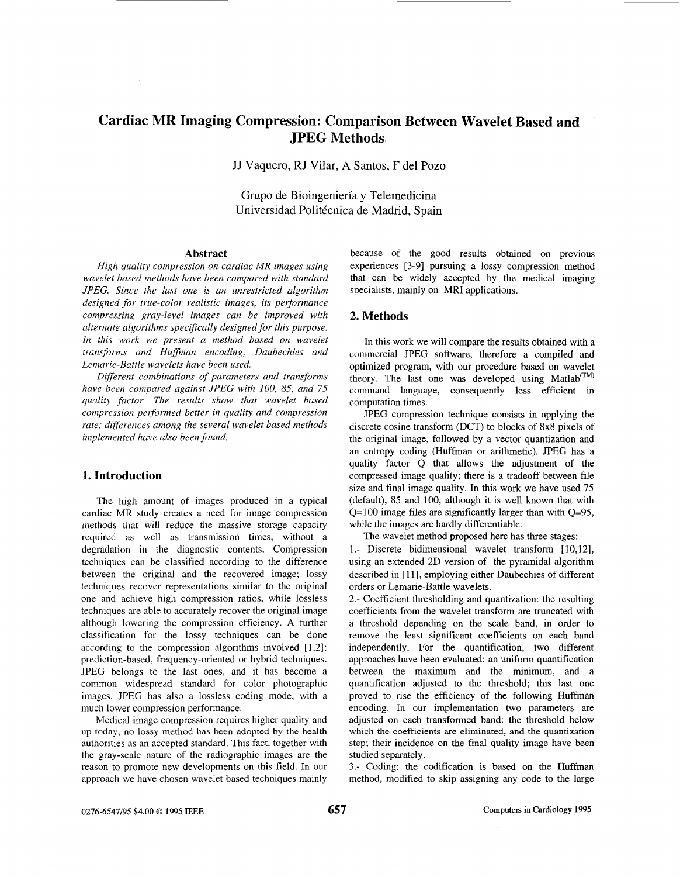# **Cardiac MR Imaging Compression: Comparison Between Wavelet Based and JPEG Methods**

JJ Vaquero, RJ Vilar, **A** Santos, F del Pozo

Grupo de Bioingenieria **y** Telemedicina Universidad Politécnica de Madrid, Spain

#### **Abstract**

*High quality compression on cardiac MR images using wavelet based methods have been compared with standard JPEG. Since the last one is an unrestricted algorithm designed for true-color realistic images, its performance compressing gray-level images can be improved with alternate algorithms specifically designed for this purpose. In this work we present a method based on wavelet*  transforms and Huffman encoding; Daubechies and *Lernarie-Battle wavelets have been used.* 

*Different combinations of parameters and transforms have been compared against JPEG with 100, 85, and 75 quality factor. The results show that wavelet based compression performed better in quality and compression rate; diflerences among the several wavelet based methods implemented have also been found.* 

## **1. Introduction**

The high amount of images produced in a typical cardiac MR study creates a need for image compression methods that will reduce the massive storage capacity required as well as transmission times, without a degradation in the diagnostic contents. Compression techniques can be classified according to the difference between the original and the recovered image; lossy techniques recover representations similar to the original one and achieve high compression ratios, while lossless techniques are able to accurately recover the original image although lowering the compression efficiency. **A** further classification for the lossy techniques can be done according to the compression algorithms involved  $[1,2]$ : prediction-based, frequency-oriented or hybrid techniques. JPEG belongs to the last ones, and it has become a common widespread standard for color photographic images. JPEG has also a lossless coding mode, with a much lower compression performance.

Medical image compression requires higher quality and **up today,** no lossy **method has been adopted by the health**  authorities as an accepted standard. This fact, together with the gray-scale nature of the radiographic images are the reason to promote new developments on this field. In our approach we have chosen wavelet based techniques mainly

because of the good results obtained on previous experiences [3-91 pursuing a lossy compression method that can be widely accepted by the medical imaging specialists, mainly on MRI applications.

### **2. Methods**

In this work we will compare the results obtained with a commercial JPEG software, therefore a compiled and optimized program, with our procedure based on wavelet theory. The last one was developed using Matlab'TM' command language, consequently less efficient in computation times.

JPEG compression technique consists in applying the discrete cosine transform (DCT) to blocks of **8x8** pixels of the original image, followed by a vector quantization and an entropy coding (Huffman or arithmetic). JPEG has a quality factor Q that allows the adjustment of the compressed image quality; there is a tradeoff between file size and final image quality. In this work we have used 75 (default), 85 and 100, although it is well known that with  $Q=100$  image files are significantly larger than with  $Q=95$ , while the images are hardly differentiable.

The wavelet method proposed here has three stages:

**<sup>1</sup>**.- Discrete bidimensional wavelet transform [ 10,121, using an extended 2D version of the pyramidal algorithm described in [ 111, employing either Daubechies of different orders or Lemarie-Battle wavelets.

2.- Coefficient thresholding and quantization: the resulting coefficients from the wavelet transform are truncated with a threshold depending on the scale band, in order to remove the least significant coefficients on each band independently. For the quantification, two different approaches have been evaluated: an uniform quantification between the maximum and the minimum, and a quantification adjusted to the threshold; this last one proved to rise the efficiency of the following Huffman encoding. In our implementation two parameters are adjusted on each transformed band: the threshold below **which the coefficients are eliminated, and the quantization**  step; their incidence on the final quality image have been studied separately.

3.- Coding: the codification is based on the Huffman method, modified to skip assigning any code to the large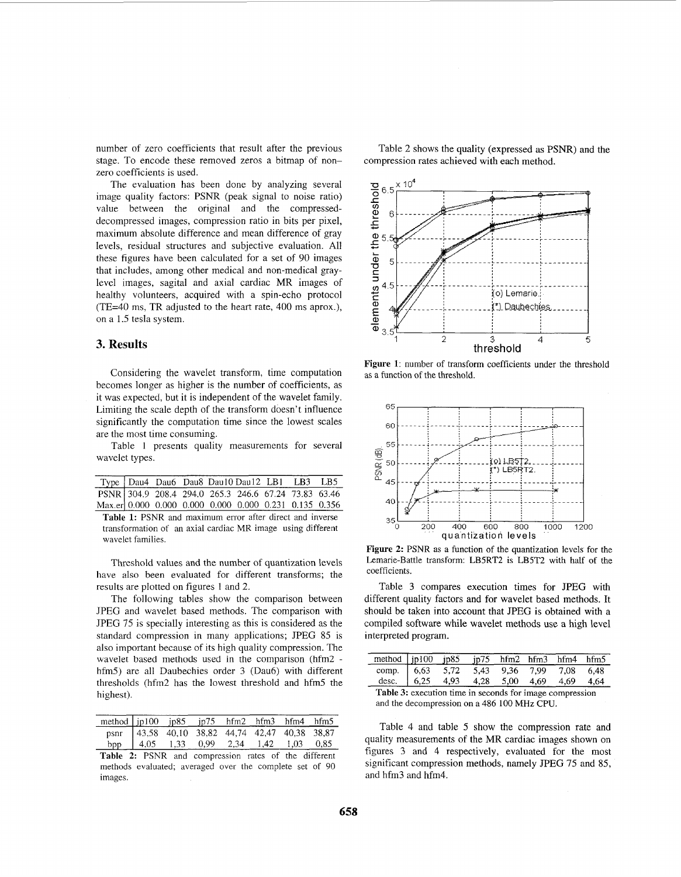<span id="page-1-0"></span>number of zero coefficients that result after the previous stage. To encode these removed zeros a bitmap of nonzero coefficients is used.

The evaluation has been done by analyzing several image quality factors: PSNR (peak signal to noise ratio) value between the original and the compresseddecompressed images, compression ratio in bits per pixel, maximum absolute difference and mean difference of gray levels, residual structures and subjective evaluation. All these figures have been calculated for a set of 90 images that includes, among other medical and non-medical graylevel images, sagital and axial cardiac MR images of healthy volunteers, acquired with a spin-echo protocol (TE=40 ms, TR adjusted to the heart rate, 400 ms aprox.), on a 1.5 tesla system.

## **3. Results**

Considering the wavelet transform, time computation becomes longer as higher is the number of coefficients, as it was expected, but it is independent of the wavelet family. Limiting the scale depth of the transform doesn't influence significantly the computation time since the lowest scales are the most time consuming.

Table 1 presents quality measurements for several wavelet types.

|                                                        |  |  | Type   Dau4 Dau6 Dau8 Dau10 Dau12 LB1 LB3 LB5 |  |  |
|--------------------------------------------------------|--|--|-----------------------------------------------|--|--|
| PSNR 304.9 208.4 294.0 265.3 246.6 67.24 73.83 63.46   |  |  |                                               |  |  |
| Max.er 0.000 0.000 0.000 0.000 0.000 0.231 0.135 0.356 |  |  |                                               |  |  |
|                                                        |  |  |                                               |  |  |

Table 1: PSNR and maximum error after direct and inverse transformation of an axial cardiac MR image using different wavelet families.

Threshold values and the number of quantization levels have also been evaluated for different transforms; the results are plotted on figures 1 and 2.

The following tables show the comparison between JPEG and wavelet based methods. The comparison with JPEG 75 is specially interesting as this is considered as the standard compression in many applications; JPEG 85 is also important because of its high quality compression. The wavelet based methods used in the comparison (hfm2 hfm5) are all Daubechies order 3 (Dau6) with different thresholds (hfm2 has the lowest threshold and hfm5 the highest).

| method $jpl00$ $jp85$ $jp75$ $hfm2$ $hfm3$ $hfm4$ $hfm5$ |                                                |  |  |  |
|----------------------------------------------------------|------------------------------------------------|--|--|--|
|                                                          | psnr 43,58 40,10 38,82 44,74 42,47 40,38 38,87 |  |  |  |
|                                                          | bpp   4,05 1,33 0,99 2,34 1,42 1,03 0,85       |  |  |  |

**Table 2:** PSNR and compression rates of the different methods evaluated; averaged over the complete set of 90 images.

Table 2 shows the quality (expressed as PSNR) and the compression rates achieved with each method.



**Figure 1:** number of transform coefficients under the threshold as a function of the threshold.



**Figure 2:** PSNR as a function of the quantization levels for the Lemarie-Battle transform: LB5RT2 is LB5T2 with half of the coefficients.

Table 3 compares execution times for JPEG with different quality factors and for wavelet based methods. It should be taken into account that JPEG is obtained with a compiled software while wavelet methods use a high level interpreted program.

| method $ip100$ $ip85$ $ip75$ $hfm2$ $hfm3$ $hfm4$ $hfm5$                             |  |  |  |  |  |  |  |
|--------------------------------------------------------------------------------------|--|--|--|--|--|--|--|
|                                                                                      |  |  |  |  |  |  |  |
| comp. 6,63 5,72 5,43 9,36 7,99 7,08 6,48<br>desc. 6,25 4,93 4,28 5,00 4,69 4,69 4,64 |  |  |  |  |  |  |  |
| Table 3: execution time in seconds for image compression                             |  |  |  |  |  |  |  |

and the decompression on a 486 100 **MHz** CPU. **<sup>A</sup>**

Table 4 and table *5* show the compression rate and quality measurements of the MR cardiac images shown on figures 3 and 4 respectively, evaluated for the most significant compression methods, namely JPEG 75 and 85, and hfm3 and hfm4.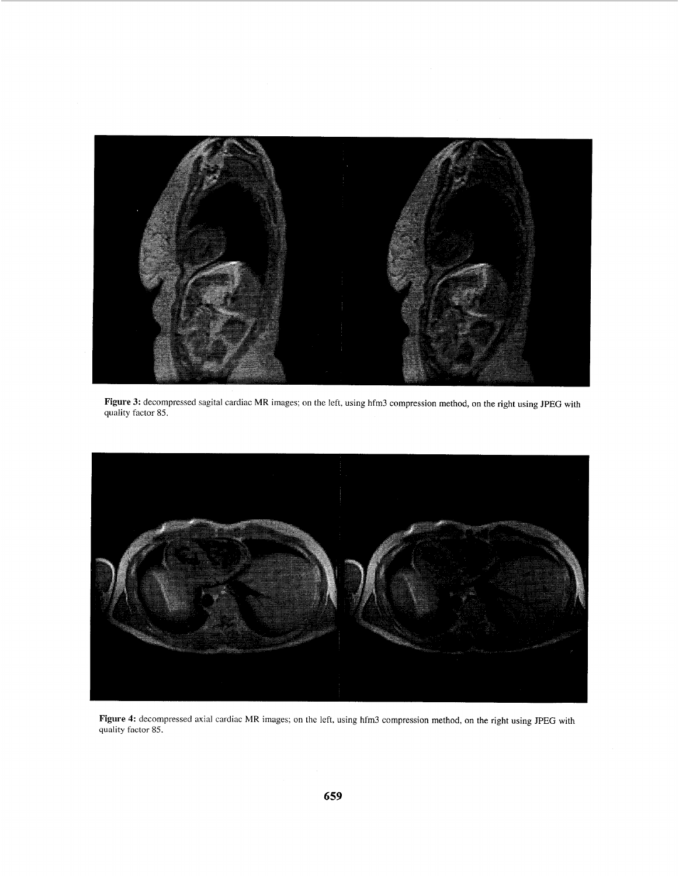

**Figure 3:** decompressed sagital cardiac MR images: on the left, using hfm3 compression method, on the right using JPEG with quality factor 85.



**Figure 4:** decompressed axial cardiac MR images; on the left, using hfm3 compression method, on the right using JPEG with quality **factor** 85.